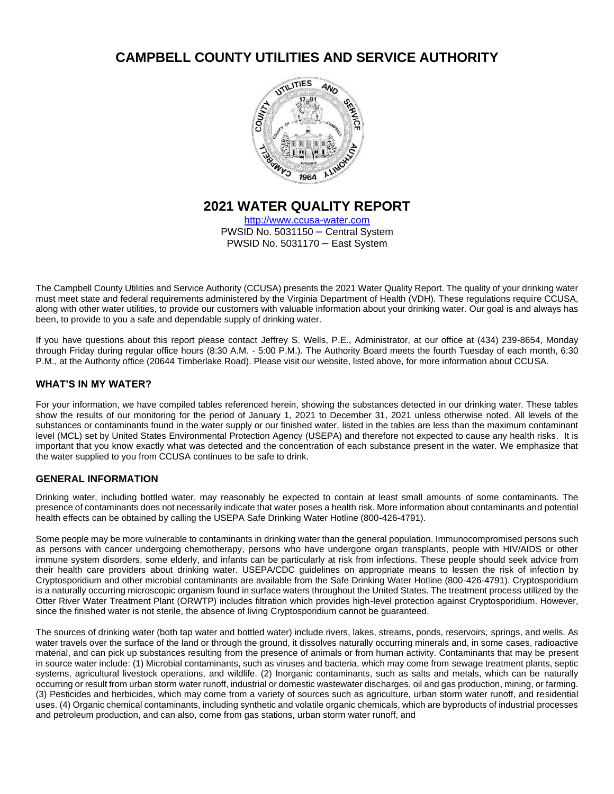# **CAMPBELL COUNTY UTILITIES AND SERVICE AUTHORITY**



# **2021 WATER QUALITY REPORT**

[http://www.ccusa-water.com](http://www.ccusa-water.com/) PWSID No. 5031150 – Central System PWSID No. 5031170 – East System

The Campbell County Utilities and Service Authority (CCUSA) presents the 2021 Water Quality Report. The quality of your drinking water must meet state and federal requirements administered by the Virginia Department of Health (VDH). These regulations require CCUSA, along with other water utilities, to provide our customers with valuable information about your drinking water. Our goal is and always has been, to provide to you a safe and dependable supply of drinking water.

If you have questions about this report please contact Jeffrey S. Wells, P.E., Administrator, at our office at (434) 239-8654, Monday through Friday during regular office hours (8:30 A.M. - 5:00 P.M.). The Authority Board meets the fourth Tuesday of each month, 6:30 P.M., at the Authority office (20644 Timberlake Road). Please visit our website, listed above, for more information about CCUSA.

# **WHAT'S IN MY WATER?**

For your information, we have compiled tables referenced herein, showing the substances detected in our drinking water. These tables show the results of our monitoring for the period of January 1, 2021 to December 31, 2021 unless otherwise noted. All levels of the substances or contaminants found in the water supply or our finished water, listed in the tables are less than the maximum contaminant level (MCL) set by United States Environmental Protection Agency (USEPA) and therefore not expected to cause any health risks. It is important that you know exactly what was detected and the concentration of each substance present in the water. We emphasize that the water supplied to you from CCUSA continues to be safe to drink.

## **GENERAL INFORMATION**

Drinking water, including bottled water, may reasonably be expected to contain at least small amounts of some contaminants. The presence of contaminants does not necessarily indicate that water poses a health risk. More information about contaminants and potential health effects can be obtained by calling the USEPA Safe Drinking Water Hotline (800-426-4791).

Some people may be more vulnerable to contaminants in drinking water than the general population. Immunocompromised persons such as persons with cancer undergoing chemotherapy, persons who have undergone organ transplants, people with HIV/AIDS or other immune system disorders, some elderly, and infants can be particularly at risk from infections. These people should seek advice from their health care providers about drinking water. USEPA/CDC guidelines on appropriate means to lessen the risk of infection by Cryptosporidium and other microbial contaminants are available from the Safe Drinking Water Hotline (800-426-4791). Cryptosporidium is a naturally occurring microscopic organism found in surface waters throughout the United States. The treatment process utilized by the Otter River Water Treatment Plant (ORWTP) includes filtration which provides high-level protection against Cryptosporidium. However, since the finished water is not sterile, the absence of living Cryptosporidium cannot be guaranteed.

The sources of drinking water (both tap water and bottled water) include rivers, lakes, streams, ponds, reservoirs, springs, and wells. As water travels over the surface of the land or through the ground, it dissolves naturally occurring minerals and, in some cases, radioactive material, and can pick up substances resulting from the presence of animals or from human activity. Contaminants that may be present in source water include: (1) Microbial contaminants, such as viruses and bacteria, which may come from sewage treatment plants, septic systems, agricultural livestock operations, and wildlife. (2) Inorganic contaminants, such as salts and metals, which can be naturally occurring or result from urban storm water runoff, industrial or domestic wastewater discharges, oil and gas production, mining, or farming. (3) Pesticides and herbicides, which may come from a variety of sources such as agriculture, urban storm water runoff, and residential uses. (4) Organic chemical contaminants, including synthetic and volatile organic chemicals, which are byproducts of industrial processes and petroleum production, and can also, come from gas stations, urban storm water runoff, and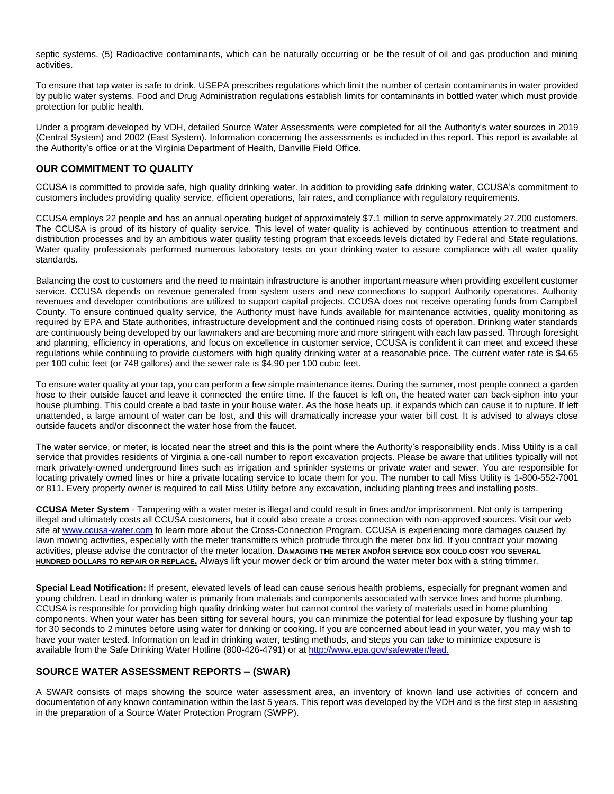septic systems. (5) Radioactive contaminants, which can be naturally occurring or be the result of oil and gas production and mining activities.

To ensure that tap water is safe to drink, USEPA prescribes regulations which limit the number of certain contaminants in water provided by public water systems. Food and Drug Administration regulations establish limits for contaminants in bottled water which must provide protection for public health.

Under a program developed by VDH, detailed Source Water Assessments were completed for all the Authority's water sources in 2019 (Central System) and 2002 (East System). Information concerning the assessments is included in this report. This report is available at the Authority's office or at the Virginia Department of Health, Danville Field Office.

## **OUR COMMITMENT TO QUALITY**

CCUSA is committed to provide safe, high quality drinking water. In addition to providing safe drinking water, CCUSA's commitment to customers includes providing quality service, efficient operations, fair rates, and compliance with regulatory requirements.

CCUSA employs 22 people and has an annual operating budget of approximately \$7.1 million to serve approximately 27,200 customers. The CCUSA is proud of its history of quality service. This level of water quality is achieved by continuous attention to treatment and distribution processes and by an ambitious water quality testing program that exceeds levels dictated by Federal and State regulations. Water quality professionals performed numerous laboratory tests on your drinking water to assure compliance with all water quality standards.

Balancing the cost to customers and the need to maintain infrastructure is another important measure when providing excellent customer service. CCUSA depends on revenue generated from system users and new connections to support Authority operations. Authority revenues and developer contributions are utilized to support capital projects. CCUSA does not receive operating funds from Campbell County. To ensure continued quality service, the Authority must have funds available for maintenance activities, quality monitoring as required by EPA and State authorities, infrastructure development and the continued rising costs of operation. Drinking water standards are continuously being developed by our lawmakers and are becoming more and more stringent with each law passed. Through foresight and planning, efficiency in operations, and focus on excellence in customer service, CCUSA is confident it can meet and exceed these regulations while continuing to provide customers with high quality drinking water at a reasonable price. The current water rate is \$4.65 per 100 cubic feet (or 748 gallons) and the sewer rate is \$4.90 per 100 cubic feet.

To ensure water quality at your tap, you can perform a few simple maintenance items. During the summer, most people connect a garden hose to their outside faucet and leave it connected the entire time. If the faucet is left on, the heated water can back-siphon into your house plumbing. This could create a bad taste in your house water. As the hose heats up, it expands which can cause it to rupture. If left unattended, a large amount of water can be lost, and this will dramatically increase your water bill cost. It is advised to always close outside faucets and/or disconnect the water hose from the faucet.

The water service, or meter, is located near the street and this is the point where the Authority's responsibility ends. Miss Utility is a call service that provides residents of Virginia a one-call number to report excavation projects. Please be aware that utilities typically will not mark privately-owned underground lines such as irrigation and sprinkler systems or private water and sewer. You are responsible for locating privately owned lines or hire a private locating service to locate them for you. The number to call Miss Utility is 1-800-552-7001 or 811. Every property owner is required to call Miss Utility before any excavation, including planting trees and installing posts.

**CCUSA Meter System** - Tampering with a water meter is illegal and could result in fines and/or imprisonment. Not only is tampering illegal and ultimately costs all CCUSA customers, but it could also create a cross connection with non-approved sources. Visit our web site at [www.ccusa-water.com](http://www.ccusa-water.com/) to learn more about the Cross-Connection Program. CCUSA is experiencing more damages caused by lawn mowing activities, especially with the meter transmitters which protrude through the meter box lid. If you contract your mowing activities, please advise the contractor of the meter location. **DAMAGING THE METER AND/OR SERVICE BOX COULD COST YOU SEVERAL HUNDRED DOLLARS TO REPAIR OR REPLACE.** Always lift your mower deck or trim around the water meter box with a string trimmer.

**Special Lead Notification:** If present, elevated levels of lead can cause serious health problems, especially for pregnant women and young children. Lead in drinking water is primarily from materials and components associated with service lines and home plumbing. CCUSA is responsible for providing high quality drinking water but cannot control the variety of materials used in home plumbing components. When your water has been sitting for several hours, you can minimize the potential for lead exposure by flushing your tap for 30 seconds to 2 minutes before using water for drinking or cooking. If you are concerned about lead in your water, you may wish to have your water tested. Information on lead in drinking water, testing methods, and steps you can take to minimize exposure is available from the Safe Drinking Water Hotline (800-426-4791) or at<http://www.epa.gov/safewater/lead.>

## **SOURCE WATER ASSESSMENT REPORTS – (SWAR)**

A SWAR consists of maps showing the source water assessment area, an inventory of known land use activities of concern and documentation of any known contamination within the last 5 years. This report was developed by the VDH and is the first step in assisting in the preparation of a Source Water Protection Program (SWPP).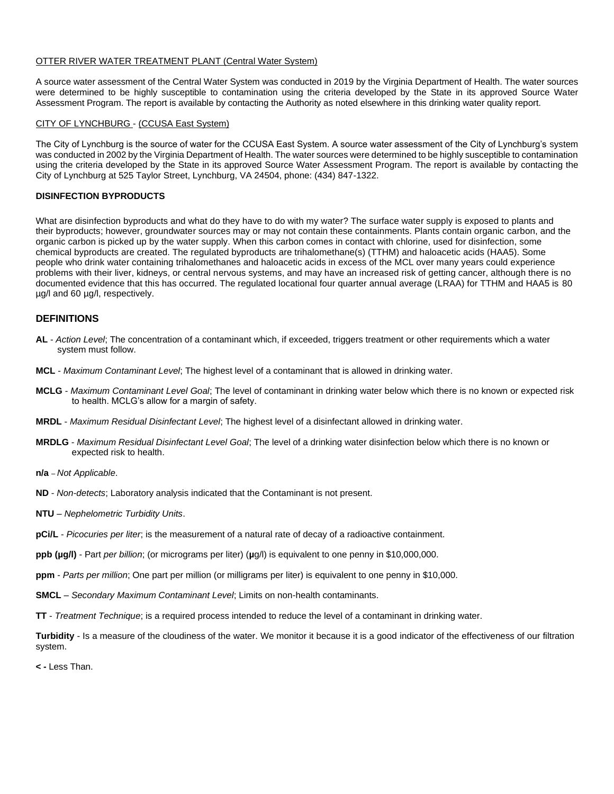#### OTTER RIVER WATER TREATMENT PLANT (Central Water System)

A source water assessment of the Central Water System was conducted in 2019 by the Virginia Department of Health. The water sources were determined to be highly susceptible to contamination using the criteria developed by the State in its approved Source Water Assessment Program. The report is available by contacting the Authority as noted elsewhere in this drinking water quality report.

#### CITY OF LYNCHBURG - (CCUSA East System)

The City of Lynchburg is the source of water for the CCUSA East System. A source water assessment of the City of Lynchburg's system was conducted in 2002 by the Virginia Department of Health. The water sources were determined to be highly susceptible to contamination using the criteria developed by the State in its approved Source Water Assessment Program. The report is available by contacting the City of Lynchburg at 525 Taylor Street, Lynchburg, VA 24504, phone: (434) 847-1322.

#### **DISINFECTION BYPRODUCTS**

What are disinfection byproducts and what do they have to do with my water? The surface water supply is exposed to plants and their byproducts; however, groundwater sources may or may not contain these containments. Plants contain organic carbon, and the organic carbon is picked up by the water supply. When this carbon comes in contact with chlorine, used for disinfection, some chemical byproducts are created. The regulated byproducts are trihalomethane(s) (TTHM) and haloacetic acids (HAA5). Some people who drink water containing trihalomethanes and haloacetic acids in excess of the MCL over many years could experience problems with their liver, kidneys, or central nervous systems, and may have an increased risk of getting cancer, although there is no documented evidence that this has occurred. The regulated locational four quarter annual average (LRAA) for TTHM and HAA5 is 80 µg/l and 60 µg/l, respectively.

#### **DEFINITIONS**

- **AL**  *Action Level*; The concentration of a contaminant which, if exceeded, triggers treatment or other requirements which a water system must follow.
- **MCL**  *Maximum Contaminant Level*; The highest level of a contaminant that is allowed in drinking water.
- **MCLG**  *Maximum Contaminant Level Goal*; The level of contaminant in drinking water below which there is no known or expected risk to health. MCLG's allow for a margin of safety.
- **MRDL**  *Maximum Residual Disinfectant Level*; The highest level of a disinfectant allowed in drinking water.
- **MRDLG**  *Maximum Residual Disinfectant Level Goal*; The level of a drinking water disinfection below which there is no known or expected risk to health.

**n/a** *– Not Applicable*.

- **ND**  *Non-detects*; Laboratory analysis indicated that the Contaminant is not present.
- **NTU**  *Nephelometric Turbidity Units*.
- **pCi/L**  *Picocuries per liter*; is the measurement of a natural rate of decay of a radioactive containment.
- **ppb (µg/l)**  Part *per billion*; (or micrograms per liter) (**µ**g/l) is equivalent to one penny in \$10,000,000.
- **ppm**  *Parts per million*; One part per million (or milligrams per liter) is equivalent to one penny in \$10,000.
- **SMCL**  *Secondary Maximum Contaminant Level*; Limits on non-health contaminants.
- **TT**  *Treatment Technique*; is a required process intended to reduce the level of a contaminant in drinking water.

**Turbidity** - Is a measure of the cloudiness of the water. We monitor it because it is a good indicator of the effectiveness of our filtration system.

**< -** Less Than.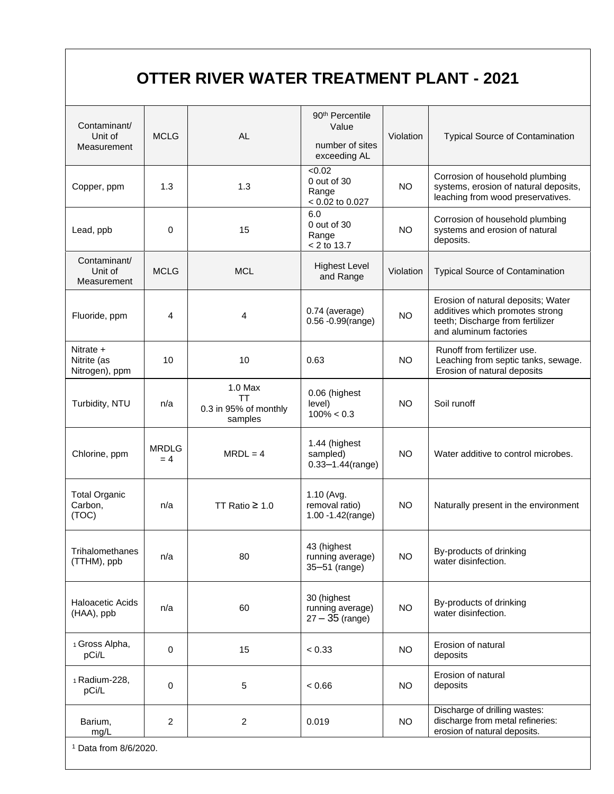# **OTTER RIVER WATER TREATMENT PLANT - 2021**

| Contaminant/<br>Unit of<br>Measurement     | <b>MCLG</b>           | <b>AL</b>                                           | 90 <sup>th</sup> Percentile<br>Value<br>number of sites<br>exceeding AL | Violation | <b>Typical Source of Contamination</b>                                                                                              |  |
|--------------------------------------------|-----------------------|-----------------------------------------------------|-------------------------------------------------------------------------|-----------|-------------------------------------------------------------------------------------------------------------------------------------|--|
| Copper, ppm                                | 1.3                   | 1.3                                                 | $\sqrt{6.02}$<br>0 out of 30<br>Range<br>$< 0.02$ to 0.027              | <b>NO</b> | Corrosion of household plumbing<br>systems, erosion of natural deposits,<br>leaching from wood preservatives.                       |  |
| Lead, ppb                                  | $\Omega$              | 15                                                  | 6.0<br>$0$ out of $30$<br>Range<br>$< 2$ to 13.7                        | <b>NO</b> | Corrosion of household plumbing<br>systems and erosion of natural<br>deposits.                                                      |  |
| Contaminant/<br>Unit of<br>Measurement     | <b>MCLG</b>           | <b>MCL</b>                                          | <b>Highest Level</b><br>and Range                                       | Violation | <b>Typical Source of Contamination</b>                                                                                              |  |
| Fluoride, ppm                              | 4                     | 4                                                   | 0.74 (average)<br>$0.56 - 0.99$ (range)                                 | <b>NO</b> | Erosion of natural deposits; Water<br>additives which promotes strong<br>teeth; Discharge from fertilizer<br>and aluminum factories |  |
| Nitrate +<br>Nitrite (as<br>Nitrogen), ppm | 10                    | 10                                                  | 0.63                                                                    | <b>NO</b> | Runoff from fertilizer use.<br>Leaching from septic tanks, sewage.<br>Erosion of natural deposits                                   |  |
| Turbidity, NTU                             | n/a                   | $1.0$ Max<br>ТT<br>0.3 in 95% of monthly<br>samples | 0.06 (highest<br>level)<br><b>NO</b><br>$100\% < 0.3$                   |           | Soil runoff                                                                                                                         |  |
| Chlorine, ppm                              | <b>MRDLG</b><br>$= 4$ | $MRDL = 4$                                          | 1.44 (highest<br>sampled)<br>$0.33 - 1.44$ (range)                      | <b>NO</b> | Water additive to control microbes.                                                                                                 |  |
| <b>Total Organic</b><br>Carbon,<br>(TOC)   | n/a                   | TT Ratio $\geq 1.0$                                 | 1.10 (Avg.<br>removal ratio)<br>1.00 - 1.42(range)                      | <b>NO</b> | Naturally present in the environment                                                                                                |  |
| Trihalomethanes<br>(TTHM), ppb             | n/a                   | 80                                                  | 43 (highest<br>running average)<br>35-51 (range)                        | <b>NO</b> | By-products of drinking<br>water disinfection.                                                                                      |  |
| <b>Haloacetic Acids</b><br>(HAA), ppb      | n/a                   | 60                                                  | 30 (highest<br>running average)<br>$27 - 35$ (range)                    | <b>NO</b> | By-products of drinking<br>water disinfection.                                                                                      |  |
| 1 Gross Alpha,<br>pCi/L                    | 0                     | 15                                                  | < 0.33                                                                  | <b>NO</b> | Erosion of natural<br>deposits                                                                                                      |  |
| 1 Radium-228,<br>pCi/L                     | $\mathbf 0$           | 5                                                   | < 0.66                                                                  | NO.       | Erosion of natural<br>deposits                                                                                                      |  |
| Barium,<br>mg/L                            | $\overline{2}$        | $\overline{c}$                                      | 0.019                                                                   | <b>NO</b> | Discharge of drilling wastes:<br>discharge from metal refineries:<br>erosion of natural deposits.                                   |  |
| $1$ Data from $R/R/2020$                   |                       |                                                     |                                                                         |           |                                                                                                                                     |  |

Data from  $8/6/202$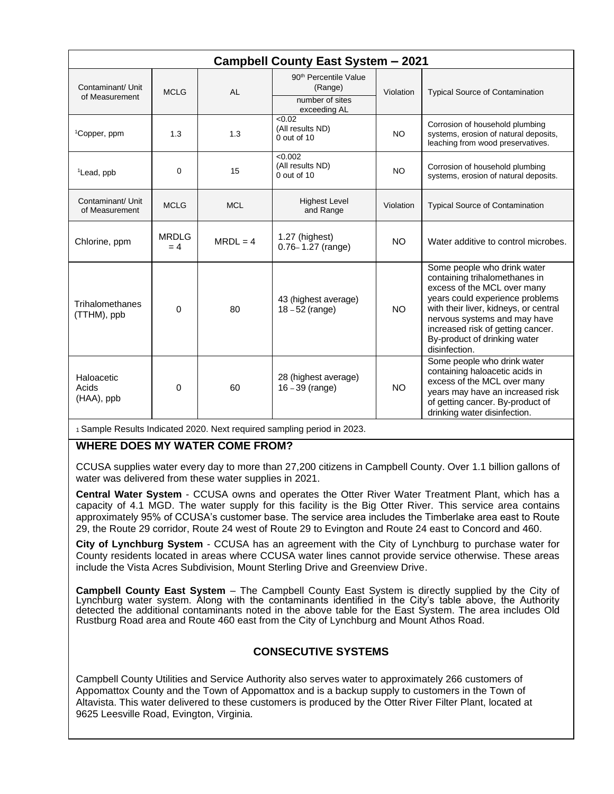| <b>Campbell County East System - 2021</b> |                      |            |                                                                                 |           |                                                                                                                                                                                                                                                                                               |  |
|-------------------------------------------|----------------------|------------|---------------------------------------------------------------------------------|-----------|-----------------------------------------------------------------------------------------------------------------------------------------------------------------------------------------------------------------------------------------------------------------------------------------------|--|
| Contaminant/ Unit<br>of Measurement       | <b>MCLG</b>          | <b>AL</b>  | 90 <sup>th</sup> Percentile Value<br>(Range)<br>number of sites<br>exceeding AL | Violation | <b>Typical Source of Contamination</b>                                                                                                                                                                                                                                                        |  |
| <sup>1</sup> Copper, ppm                  | 1.3                  | 1.3        | < 0.02<br>(All results ND)<br>NO.<br>$0$ out of 10                              |           | Corrosion of household plumbing<br>systems, erosion of natural deposits,<br>leaching from wood preservatives.                                                                                                                                                                                 |  |
| <sup>1</sup> Lead, ppb                    | 0                    | 15         | < 0.002<br>(All results ND)<br>NO.<br>$0$ out of $10$                           |           | Corrosion of household plumbing<br>systems, erosion of natural deposits.                                                                                                                                                                                                                      |  |
| Contaminant/ Unit<br>of Measurement       | <b>MCLG</b>          | <b>MCL</b> | <b>Highest Level</b><br>Violation<br>and Range                                  |           | <b>Typical Source of Contamination</b>                                                                                                                                                                                                                                                        |  |
| Chlorine, ppm                             | <b>MRDLG</b><br>$=4$ | $MRDL = 4$ | 1.27 (highest)<br>$0.76 - 1.27$ (range)                                         | <b>NO</b> | Water additive to control microbes.                                                                                                                                                                                                                                                           |  |
| Trihalomethanes<br>(TTHM), ppb            | 0                    | 80         | 43 (highest average)<br>$18 - 52$ (range)                                       | <b>NO</b> | Some people who drink water<br>containing trihalomethanes in<br>excess of the MCL over many<br>years could experience problems<br>with their liver, kidneys, or central<br>nervous systems and may have<br>increased risk of getting cancer.<br>By-product of drinking water<br>disinfection. |  |
| Haloacetic<br>Acids<br>(HAA), ppb         | 0                    | 60         | 28 (highest average)<br>$16 - 39$ (range)                                       | <b>NO</b> | Some people who drink water<br>containing haloacetic acids in<br>excess of the MCL over many<br>years may have an increased risk<br>of getting cancer. By-product of<br>drinking water disinfection.                                                                                          |  |

<sup>1</sup>Sample Results Indicated 2020. Next required sampling period in 2023.

# **WHERE DOES MY WATER COME FROM?**

CCUSA supplies water every day to more than 27,200 citizens in Campbell County. Over 1.1 billion gallons of water was delivered from these water supplies in 2021.

**Central Water System** - CCUSA owns and operates the Otter River Water Treatment Plant, which has a capacity of 4.1 MGD. The water supply for this facility is the Big Otter River. This service area contains approximately 95% of CCUSA's customer base. The service area includes the Timberlake area east to Route 29, the Route 29 corridor, Route 24 west of Route 29 to Evington and Route 24 east to Concord and 460.

**City of Lynchburg System** - CCUSA has an agreement with the City of Lynchburg to purchase water for County residents located in areas where CCUSA water lines cannot provide service otherwise. These areas include the Vista Acres Subdivision, Mount Sterling Drive and Greenview Drive.

**Campbell County East System** – The Campbell County East System is directly supplied by the City of Lynchburg water system. Along with the contaminants identified in the City's table above, the Authority detected the additional contaminants noted in the above table for the East System. The area includes Old Rustburg Road area and Route 460 east from the City of Lynchburg and Mount Athos Road.

# **CONSECUTIVE SYSTEMS**

Campbell County Utilities and Service Authority also serves water to approximately 266 customers of Appomattox County and the Town of Appomattox and is a backup supply to customers in the Town of Altavista. This water delivered to these customers is produced by the Otter River Filter Plant, located at 9625 Leesville Road, Evington, Virginia.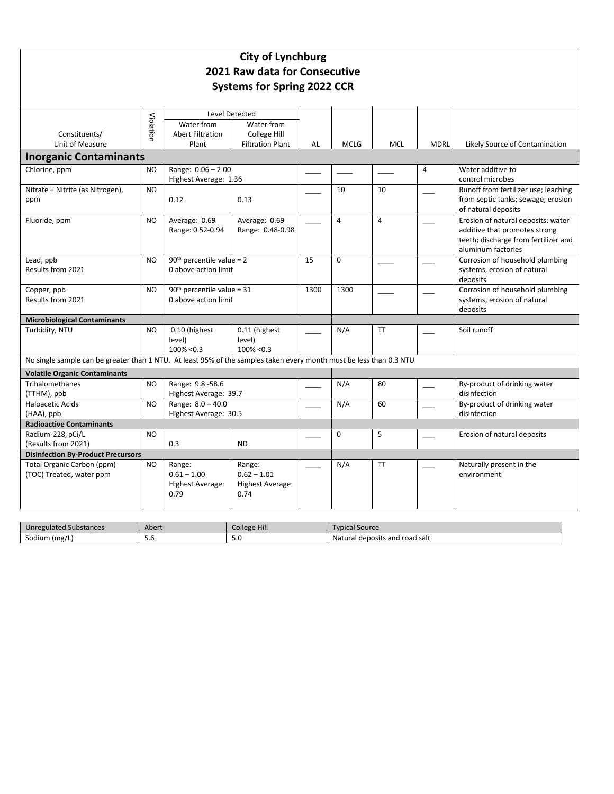|                                                                                                                     |           |                                                      | <b>City of Lynchburg</b><br>2021 Raw data for Consecutive<br><b>Systems for Spring 2022 CCR</b> |      |                |            |             |                                                                            |
|---------------------------------------------------------------------------------------------------------------------|-----------|------------------------------------------------------|-------------------------------------------------------------------------------------------------|------|----------------|------------|-------------|----------------------------------------------------------------------------|
|                                                                                                                     |           | Level Detected                                       |                                                                                                 |      |                |            |             |                                                                            |
|                                                                                                                     | Violatior | Water from                                           | Water from                                                                                      |      |                |            |             |                                                                            |
| Constituents/                                                                                                       |           | <b>Abert Filtration</b>                              | College Hill                                                                                    |      |                |            |             |                                                                            |
| Unit of Measure                                                                                                     |           | Plant                                                | <b>Filtration Plant</b>                                                                         | AL   | <b>MCLG</b>    | <b>MCL</b> | <b>MDRL</b> | Likely Source of Contamination                                             |
| <b>Inorganic Contaminants</b>                                                                                       |           |                                                      |                                                                                                 |      |                |            |             |                                                                            |
| Chlorine, ppm                                                                                                       | <b>NO</b> | Range: 0.06 - 2.00                                   |                                                                                                 |      |                |            | 4           | Water additive to                                                          |
|                                                                                                                     |           | Highest Average: 1.36                                |                                                                                                 |      |                |            |             | control microbes                                                           |
| Nitrate + Nitrite (as Nitrogen),                                                                                    | <b>NO</b> | 0.12                                                 | 0.13                                                                                            |      | 10             | 10         |             | Runoff from fertilizer use; leaching<br>from septic tanks; sewage; erosion |
| ppm                                                                                                                 |           |                                                      |                                                                                                 |      |                |            |             | of natural deposits                                                        |
| Fluoride, ppm                                                                                                       | <b>NO</b> | Average: 0.69                                        | Average: 0.69                                                                                   |      | $\overline{a}$ | 4          |             | Erosion of natural deposits; water                                         |
|                                                                                                                     |           | Range: 0.52-0.94                                     | Range: 0.48-0.98                                                                                |      |                |            |             | additive that promotes strong                                              |
|                                                                                                                     |           |                                                      |                                                                                                 |      |                |            |             | teeth; discharge from fertilizer and                                       |
|                                                                                                                     |           |                                                      |                                                                                                 |      |                |            |             | aluminum factories                                                         |
| Lead, ppb                                                                                                           | <b>NO</b> | $90th$ percentile value = 2                          |                                                                                                 | 15   | $\Omega$       |            |             | Corrosion of household plumbing                                            |
| Results from 2021                                                                                                   |           | 0 above action limit                                 |                                                                                                 |      |                |            |             | systems, erosion of natural                                                |
| Copper, ppb                                                                                                         | <b>NO</b> |                                                      |                                                                                                 | 1300 | 1300           |            |             | deposits<br>Corrosion of household plumbing                                |
| Results from 2021                                                                                                   |           | $90th$ percentile value = 31<br>0 above action limit |                                                                                                 |      |                |            |             | systems, erosion of natural                                                |
|                                                                                                                     |           |                                                      |                                                                                                 |      |                |            |             | deposits                                                                   |
| <b>Microbiological Contaminants</b>                                                                                 |           |                                                      |                                                                                                 |      |                |            |             |                                                                            |
| Turbidity, NTU                                                                                                      | <b>NO</b> | 0.10 (highest                                        | 0.11 (highest                                                                                   |      | N/A            | <b>TT</b>  |             | Soil runoff                                                                |
|                                                                                                                     |           | level)                                               | level)                                                                                          |      |                |            |             |                                                                            |
|                                                                                                                     |           | 100% < 0.3                                           | $100\% < 0.3$                                                                                   |      |                |            |             |                                                                            |
| No single sample can be greater than 1 NTU. At least 95% of the samples taken every month must be less than 0.3 NTU |           |                                                      |                                                                                                 |      |                |            |             |                                                                            |
| <b>Volatile Organic Contaminants</b>                                                                                |           |                                                      |                                                                                                 |      |                |            |             |                                                                            |
| <b>Trihalomethanes</b>                                                                                              | <b>NO</b> | Range: 9.8-58.6                                      |                                                                                                 |      | N/A            | 80         |             | By-product of drinking water                                               |
| (TTHM), ppb                                                                                                         |           | Highest Average: 39.7                                |                                                                                                 |      |                |            |             | disinfection                                                               |
| <b>Haloacetic Acids</b>                                                                                             | NO        | Range: 8.0 - 40.0<br>Highest Average: 30.5           |                                                                                                 |      | N/A            | 60         |             | By-product of drinking water<br>disinfection                               |
| (HAA), ppb<br><b>Radioactive Contaminants</b>                                                                       |           |                                                      |                                                                                                 |      |                |            |             |                                                                            |
| Radium-228, pCi/L                                                                                                   | <b>NO</b> |                                                      |                                                                                                 |      | $\mathbf 0$    | 5          |             | Erosion of natural deposits                                                |
| (Results from 2021)                                                                                                 |           | 0.3                                                  | <b>ND</b>                                                                                       |      |                |            |             |                                                                            |
| <b>Disinfection By-Product Precursors</b>                                                                           |           |                                                      |                                                                                                 |      |                |            |             |                                                                            |
| Total Organic Carbon (ppm)                                                                                          | NO        | Range:                                               | Range:                                                                                          |      | N/A            | <b>TT</b>  |             | Naturally present in the                                                   |
| (TOC) Treated, water ppm                                                                                            |           | $0.61 - 1.00$                                        | $0.62 - 1.01$                                                                                   |      |                |            |             | environment                                                                |
|                                                                                                                     |           | Highest Average:                                     | <b>Highest Average:</b>                                                                         |      |                |            |             |                                                                            |
|                                                                                                                     |           | 0.79                                                 | 0.74                                                                                            |      |                |            |             |                                                                            |
|                                                                                                                     |           |                                                      |                                                                                                 |      |                |            |             |                                                                            |

| Unregulated Substances | Abert | College Hill | Upical Source                       |
|------------------------|-------|--------------|-------------------------------------|
| (mg)<br>Sodium         | J.U   | <b></b>      | I deposits and road salt<br>Natural |